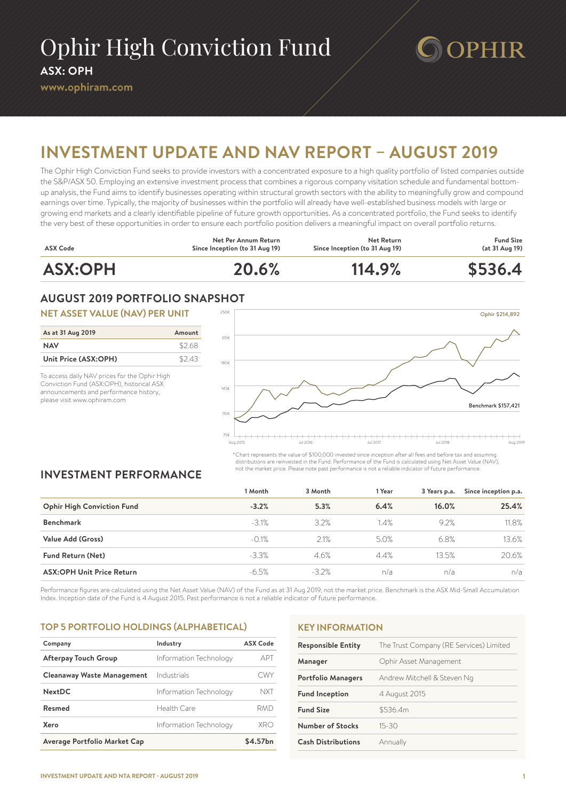# Ophir High Conviction Fund **ASX: OPH**

#### **www.ophiram.com**

# **PHIR**

# **INVESTMENT UPDATE AND NAV REPORT – AUGUST 2019**

The Ophir High Conviction Fund seeks to provide investors with a concentrated exposure to a high quality portfolio of listed companies outside the S&P/ASX 50. Employing an extensive investment process that combines a rigorous company visitation schedule and fundamental bottomup analysis, the Fund aims to identify businesses operating within structural growth sectors with the ability to meaningfully grow and compound earnings over time. Typically, the majority of businesses within the portfolio will already have well-established business models with large or growing end markets and a clearly identifiable pipeline of future growth opportunities. As a concentrated portfolio, the Fund seeks to identify the very best of these opportunities in order to ensure each portfolio position delivers a meaningful impact on overall portfolio returns.



# **AUGUST 2019 PORTFOLIO SNAPSHOT**

#### **NET ASSET VALUE (NAV) PER UNIT**

| As at 31 Aug 2019    | Amount |
|----------------------|--------|
| <b>NAV</b>           | \$2.68 |
| Unit Price (ASX:OPH) | \$2.43 |

To access daily NAV prices for the Ophir High Conviction Fund (ASX:OPH), historical ASX announcements and performance history, please visit www.ophiram.com



\*Chart represents the value of \$100,000 invested since inception after all fees and before tax and assuming distributions are reinvested in the Fund. Performance of the Fund is calculated using Net Asset Value (NAV), not the market price. Please note past performance is not a reliable indicator of future performance.

# **INVESTMENT PERFORMANCE**

|                                   | 1 Month  | 3 Month | 1 Year | 3 Years p.a. | Since inception p.a. |
|-----------------------------------|----------|---------|--------|--------------|----------------------|
| <b>Ophir High Conviction Fund</b> | $-3.2%$  | 5.3%    | 6.4%   | 16.0%        | 25.4%                |
| <b>Benchmark</b>                  | $-3.1%$  | 3.2%    | 1.4%   | 9.2%         | 11.8%                |
| Value Add (Gross)                 | $-0.1%$  | 2.1%    | 5.0%   | 6.8%         | 13.6%                |
| <b>Fund Return (Net)</b>          | $-3.3%$  | 4.6%    | 4.4%   | 13.5%        | 20.6%                |
| <b>ASX:OPH Unit Price Return</b>  | $-6.5\%$ | $-3.2%$ | n/a    | n/a          | n/a                  |

Performance figures are calculated using the Net Asset Value (NAV) of the Fund as at 31 Aug 2019, not the market price. Benchmark is the ASX Mid-Small Accumulation Index. Inception date of the Fund is 4 August 2015. Past performance is not a reliable indicator of future performance.

## **TOP 5 PORTFOLIO HOLDINGS (ALPHABETICAL)**

| Company                           | Industry               | <b>ASX Code</b> |
|-----------------------------------|------------------------|-----------------|
| <b>Afterpay Touch Group</b>       | Information Technology | APT             |
| <b>Cleanaway Waste Management</b> | Industrials            | CWY             |
| <b>NextDC</b>                     | Information Technology | NXT             |
| Resmed                            | Health Care            | RMD             |
| Xero                              | Information Technology | XR∩             |
| Average Portfolio Market Cap      |                        | \$4.57bn        |

## **KEY INFORMATION**

| <b>Responsible Entity</b> | The Trust Company (RE Services) Limited |
|---------------------------|-----------------------------------------|
| Manager                   | Ophir Asset Management                  |
| <b>Portfolio Managers</b> | Andrew Mitchell & Steven Ng             |
| <b>Fund Inception</b>     | 4 August 2015                           |
| <b>Fund Size</b>          | \$536.4m                                |
| <b>Number of Stocks</b>   | $15 - 30$                               |
| <b>Cash Distributions</b> | Annually                                |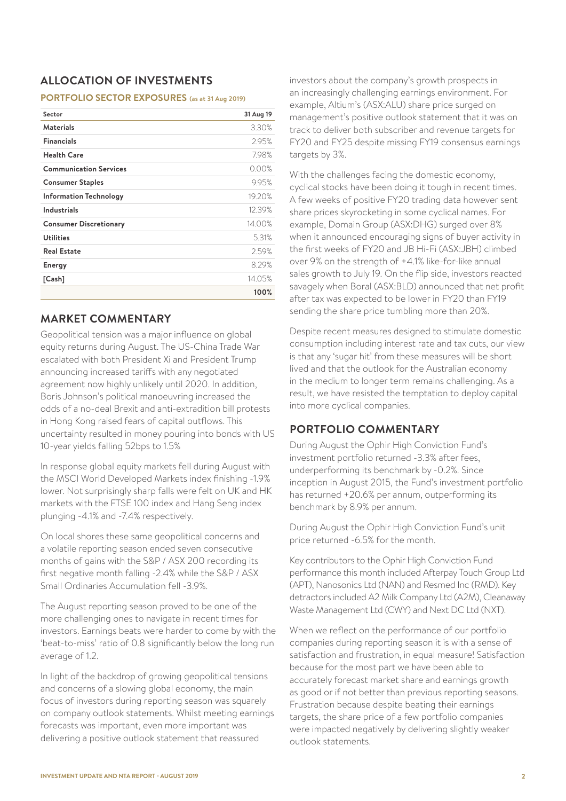# **ALLOCATION OF INVESTMENTS**

#### **PORTFOLIO SECTOR EXPOSURES (as at 31 Aug 2019)**

| Sector                        | 31 Aug 19 |
|-------------------------------|-----------|
| <b>Materials</b>              | 3.30%     |
| <b>Financials</b>             | 2.95%     |
| <b>Health Care</b>            | 7.98%     |
| <b>Communication Services</b> | $0.00\%$  |
| <b>Consumer Staples</b>       | 9.95%     |
| <b>Information Technology</b> | 19.20%    |
| <b>Industrials</b>            | 12.39%    |
| <b>Consumer Discretionary</b> | 14.00%    |
| <b>Utilities</b>              | 5.31%     |
| <b>Real Estate</b>            | 2.59%     |
| <b>Energy</b>                 | 8.29%     |
| [Cash]                        | 14.05%    |
|                               | 100%      |

# **MARKET COMMENTARY**

Geopolitical tension was a major influence on global equity returns during August. The US-China Trade War escalated with both President Xi and President Trump announcing increased tariffs with any negotiated agreement now highly unlikely until 2020. In addition, Boris Johnson's political manoeuvring increased the odds of a no-deal Brexit and anti-extradition bill protests in Hong Kong raised fears of capital outflows. This uncertainty resulted in money pouring into bonds with US 10-year yields falling 52bps to 1.5%

In response global equity markets fell during August with the MSCI World Developed Markets index finishing -1.9% lower. Not surprisingly sharp falls were felt on UK and HK markets with the FTSE 100 index and Hang Seng index plunging -4.1% and -7.4% respectively.

On local shores these same geopolitical concerns and a volatile reporting season ended seven consecutive months of gains with the S&P / ASX 200 recording its first negative month falling -2.4% while the S&P / ASX Small Ordinaries Accumulation fell -3.9%.

The August reporting season proved to be one of the more challenging ones to navigate in recent times for investors. Earnings beats were harder to come by with the 'beat-to-miss' ratio of 0.8 significantly below the long run average of 1.2.

In light of the backdrop of growing geopolitical tensions and concerns of a slowing global economy, the main focus of investors during reporting season was squarely on company outlook statements. Whilst meeting earnings forecasts was important, even more important was delivering a positive outlook statement that reassured

investors about the company's growth prospects in an increasingly challenging earnings environment. For example, Altium's (ASX:ALU) share price surged on management's positive outlook statement that it was on track to deliver both subscriber and revenue targets for FY20 and FY25 despite missing FY19 consensus earnings targets by 3%.

With the challenges facing the domestic economy, cyclical stocks have been doing it tough in recent times. A few weeks of positive FY20 trading data however sent share prices skyrocketing in some cyclical names. For example, Domain Group (ASX:DHG) surged over 8% when it announced encouraging signs of buyer activity in the first weeks of FY20 and JB Hi-Fi (ASX:JBH) climbed over 9% on the strength of +4.1% like-for-like annual sales growth to July 19. On the flip side, investors reacted savagely when Boral (ASX:BLD) announced that net profit after tax was expected to be lower in FY20 than FY19 sending the share price tumbling more than 20%.

Despite recent measures designed to stimulate domestic consumption including interest rate and tax cuts, our view is that any 'sugar hit' from these measures will be short lived and that the outlook for the Australian economy in the medium to longer term remains challenging. As a result, we have resisted the temptation to deploy capital into more cyclical companies.

# **PORTFOLIO COMMENTARY**

During August the Ophir High Conviction Fund's investment portfolio returned -3.3% after fees, underperforming its benchmark by -0.2%. Since inception in August 2015, the Fund's investment portfolio has returned +20.6% per annum, outperforming its benchmark by 8.9% per annum.

During August the Ophir High Conviction Fund's unit price returned -6.5% for the month.

Key contributors to the Ophir High Conviction Fund performance this month included Afterpay Touch Group Ltd (APT), Nanosonics Ltd (NAN) and Resmed Inc (RMD). Key detractors included A2 Milk Company Ltd (A2M), Cleanaway Waste Management Ltd (CWY) and Next DC Ltd (NXT).

When we reflect on the performance of our portfolio companies during reporting season it is with a sense of satisfaction and frustration, in equal measure! Satisfaction because for the most part we have been able to accurately forecast market share and earnings growth as good or if not better than previous reporting seasons. Frustration because despite beating their earnings targets, the share price of a few portfolio companies were impacted negatively by delivering slightly weaker outlook statements.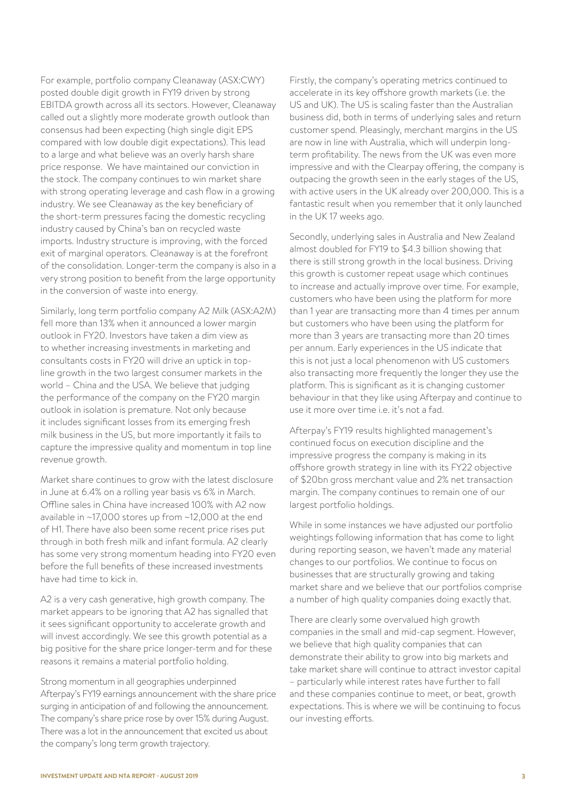For example, portfolio company Cleanaway (ASX:CWY) posted double digit growth in FY19 driven by strong EBITDA growth across all its sectors. However, Cleanaway called out a slightly more moderate growth outlook than consensus had been expecting (high single digit EPS compared with low double digit expectations). This lead to a large and what believe was an overly harsh share price response. We have maintained our conviction in the stock. The company continues to win market share with strong operating leverage and cash flow in a growing industry. We see Cleanaway as the key beneficiary of the short-term pressures facing the domestic recycling industry caused by China's ban on recycled waste imports. Industry structure is improving, with the forced exit of marginal operators. Cleanaway is at the forefront of the consolidation. Longer-term the company is also in a very strong position to benefit from the large opportunity in the conversion of waste into energy.

Similarly, long term portfolio company A2 Milk (ASX:A2M) fell more than 13% when it announced a lower margin outlook in FY20. Investors have taken a dim view as to whether increasing investments in marketing and consultants costs in FY20 will drive an uptick in topline growth in the two largest consumer markets in the world – China and the USA. We believe that judging the performance of the company on the FY20 margin outlook in isolation is premature. Not only because it includes significant losses from its emerging fresh milk business in the US, but more importantly it fails to capture the impressive quality and momentum in top line revenue growth.

Market share continues to grow with the latest disclosure in June at 6.4% on a rolling year basis vs 6% in March. Offline sales in China have increased 100% with A2 now available in ~17,000 stores up from ~12,000 at the end of H1. There have also been some recent price rises put through in both fresh milk and infant formula. A2 clearly has some very strong momentum heading into FY20 even before the full benefits of these increased investments have had time to kick in.

A2 is a very cash generative, high growth company. The market appears to be ignoring that A2 has signalled that it sees significant opportunity to accelerate growth and will invest accordingly. We see this growth potential as a big positive for the share price longer-term and for these reasons it remains a material portfolio holding.

Strong momentum in all geographies underpinned Afterpay's FY19 earnings announcement with the share price surging in anticipation of and following the announcement. The company's share price rose by over 15% during August. There was a lot in the announcement that excited us about the company's long term growth trajectory.

Firstly, the company's operating metrics continued to accelerate in its key offshore growth markets (i.e. the US and UK). The US is scaling faster than the Australian business did, both in terms of underlying sales and return customer spend. Pleasingly, merchant margins in the US are now in line with Australia, which will underpin longterm profitability. The news from the UK was even more impressive and with the Clearpay offering, the company is outpacing the growth seen in the early stages of the US, with active users in the UK already over 200,000. This is a fantastic result when you remember that it only launched in the UK 17 weeks ago.

Secondly, underlying sales in Australia and New Zealand almost doubled for FY19 to \$4.3 billion showing that there is still strong growth in the local business. Driving this growth is customer repeat usage which continues to increase and actually improve over time. For example, customers who have been using the platform for more than 1 year are transacting more than 4 times per annum but customers who have been using the platform for more than 3 years are transacting more than 20 times per annum. Early experiences in the US indicate that this is not just a local phenomenon with US customers also transacting more frequently the longer they use the platform. This is significant as it is changing customer behaviour in that they like using Afterpay and continue to use it more over time i.e. it's not a fad.

Afterpay's FY19 results highlighted management's continued focus on execution discipline and the impressive progress the company is making in its offshore growth strategy in line with its FY22 objective of \$20bn gross merchant value and 2% net transaction margin. The company continues to remain one of our largest portfolio holdings.

While in some instances we have adjusted our portfolio weightings following information that has come to light during reporting season, we haven't made any material changes to our portfolios. We continue to focus on businesses that are structurally growing and taking market share and we believe that our portfolios comprise a number of high quality companies doing exactly that.

There are clearly some overvalued high growth companies in the small and mid-cap segment. However, we believe that high quality companies that can demonstrate their ability to grow into big markets and take market share will continue to attract investor capital – particularly while interest rates have further to fall and these companies continue to meet, or beat, growth expectations. This is where we will be continuing to focus our investing efforts.